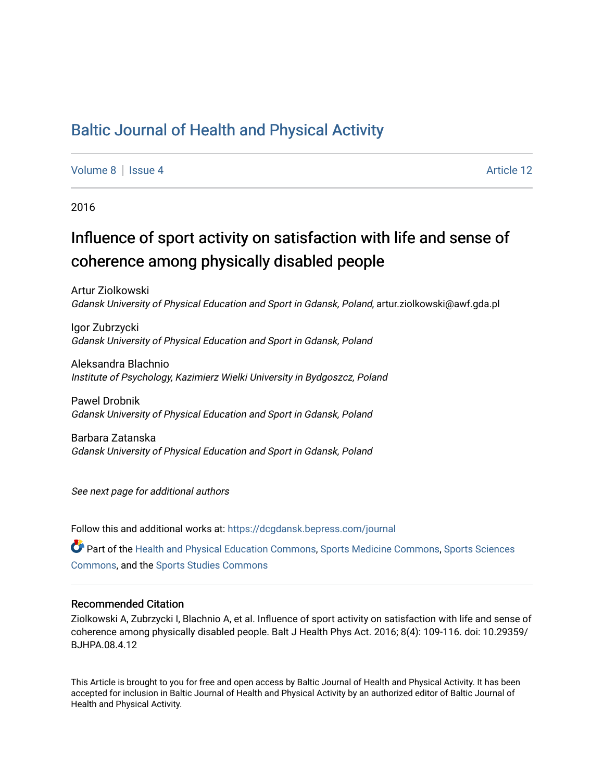## [Baltic Journal of Health and Physical Activity](https://dcgdansk.bepress.com/journal)

[Volume 8](https://dcgdansk.bepress.com/journal/vol8) | [Issue 4](https://dcgdansk.bepress.com/journal/vol8/iss4) Article 12

2016

# Influence of sport activity on satisfaction with life and sense of coherence among physically disabled people

Artur Ziolkowski Gdansk University of Physical Education and Sport in Gdansk, Poland, artur.ziolkowski@awf.gda.pl

Igor Zubrzycki Gdansk University of Physical Education and Sport in Gdansk, Poland

Aleksandra Blachnio Institute of Psychology, Kazimierz Wielki University in Bydgoszcz, Poland

Pawel Drobnik Gdansk University of Physical Education and Sport in Gdansk, Poland

Barbara Zatanska Gdansk University of Physical Education and Sport in Gdansk, Poland

See next page for additional authors

Follow this and additional works at: [https://dcgdansk.bepress.com/journal](https://dcgdansk.bepress.com/journal?utm_source=dcgdansk.bepress.com%2Fjournal%2Fvol8%2Fiss4%2F12&utm_medium=PDF&utm_campaign=PDFCoverPages)

Part of the [Health and Physical Education Commons](http://network.bepress.com/hgg/discipline/1327?utm_source=dcgdansk.bepress.com%2Fjournal%2Fvol8%2Fiss4%2F12&utm_medium=PDF&utm_campaign=PDFCoverPages), [Sports Medicine Commons,](http://network.bepress.com/hgg/discipline/1331?utm_source=dcgdansk.bepress.com%2Fjournal%2Fvol8%2Fiss4%2F12&utm_medium=PDF&utm_campaign=PDFCoverPages) [Sports Sciences](http://network.bepress.com/hgg/discipline/759?utm_source=dcgdansk.bepress.com%2Fjournal%2Fvol8%2Fiss4%2F12&utm_medium=PDF&utm_campaign=PDFCoverPages) [Commons](http://network.bepress.com/hgg/discipline/759?utm_source=dcgdansk.bepress.com%2Fjournal%2Fvol8%2Fiss4%2F12&utm_medium=PDF&utm_campaign=PDFCoverPages), and the [Sports Studies Commons](http://network.bepress.com/hgg/discipline/1198?utm_source=dcgdansk.bepress.com%2Fjournal%2Fvol8%2Fiss4%2F12&utm_medium=PDF&utm_campaign=PDFCoverPages) 

#### Recommended Citation

Ziolkowski A, Zubrzycki I, Blachnio A, et al. Influence of sport activity on satisfaction with life and sense of coherence among physically disabled people. Balt J Health Phys Act. 2016; 8(4): 109-116. doi: 10.29359/ BJHPA.08.4.12

This Article is brought to you for free and open access by Baltic Journal of Health and Physical Activity. It has been accepted for inclusion in Baltic Journal of Health and Physical Activity by an authorized editor of Baltic Journal of Health and Physical Activity.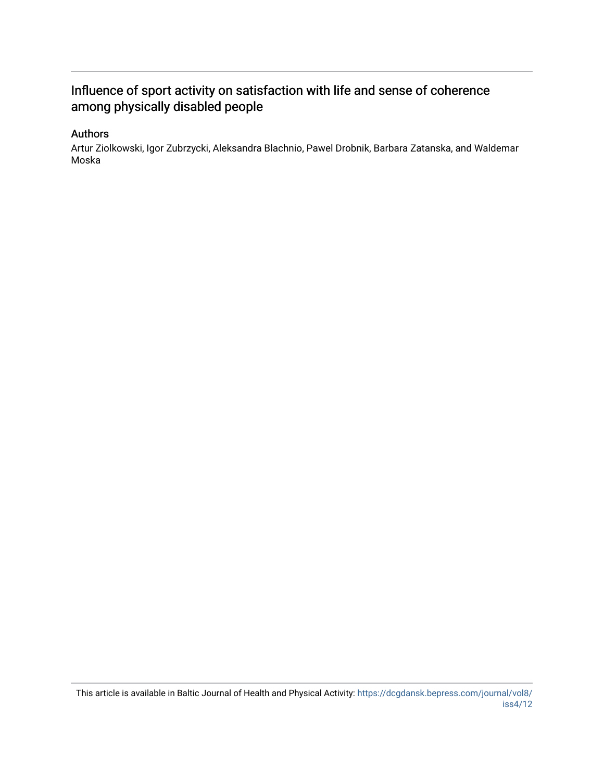## Influence of sport activity on satisfaction with life and sense of coherence among physically disabled people

## Authors

Artur Ziolkowski, Igor Zubrzycki, Aleksandra Blachnio, Pawel Drobnik, Barbara Zatanska, and Waldemar Moska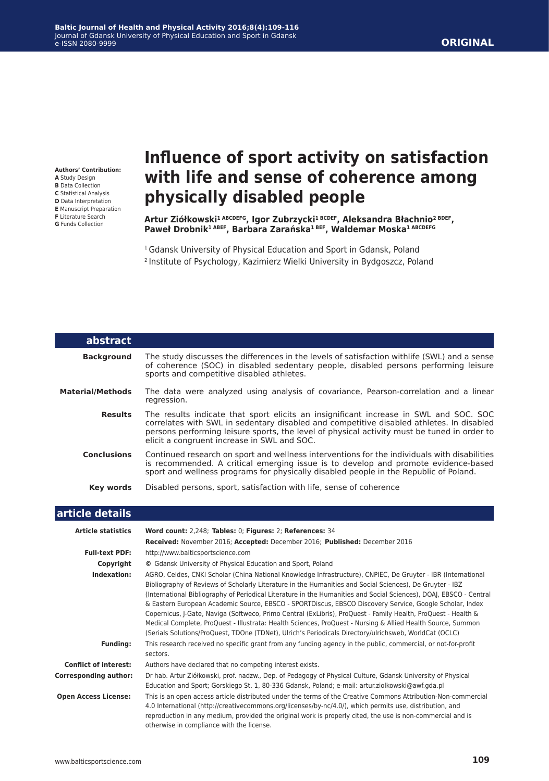#### **ORIGINAL**

**Authors' Contribution: A** Study Design **B** Data Collection **C** Statistical Analysis **D** Data Interpretation **E** Manuscript Preparation **F** Literature Search

**G** Funds Collection

I

# **Influence of sport activity on satisfaction with life and sense of coherence among physically disabled people**

**Artur Ziółkowski1 ABCDEFG, Igor Zubrzycki1 BCDEF, Aleksandra Błachnio2 BDEF, Paweł Drobnik1 ABEF, Barbara Zarańska1 BEF, Waldemar Moska1 ABCDEFG**

<sup>1</sup> Gdansk University of Physical Education and Sport in Gdansk, Poland <sup>2</sup>Institute of Psychology, Kazimierz Wielki University in Bydgoszcz, Poland

| abstract                     |                                                                                                                                                                                                                                                                                                                                                                                                                                                                                                                                                                                                                                                                                                                                                                                                      |
|------------------------------|------------------------------------------------------------------------------------------------------------------------------------------------------------------------------------------------------------------------------------------------------------------------------------------------------------------------------------------------------------------------------------------------------------------------------------------------------------------------------------------------------------------------------------------------------------------------------------------------------------------------------------------------------------------------------------------------------------------------------------------------------------------------------------------------------|
| <b>Background</b>            | The study discusses the differences in the levels of satisfaction withlife (SWL) and a sense<br>of coherence (SOC) in disabled sedentary people, disabled persons performing leisure<br>sports and competitive disabled athletes.                                                                                                                                                                                                                                                                                                                                                                                                                                                                                                                                                                    |
| <b>Material/Methods</b>      | The data were analyzed using analysis of covariance, Pearson-correlation and a linear<br>regression.                                                                                                                                                                                                                                                                                                                                                                                                                                                                                                                                                                                                                                                                                                 |
| <b>Results</b>               | The results indicate that sport elicits an insignificant increase in SWL and SOC. SOC<br>correlates with SWL in sedentary disabled and competitive disabled athletes. In disabled<br>persons performing leisure sports, the level of physical activity must be tuned in order to<br>elicit a congruent increase in SWL and SOC.                                                                                                                                                                                                                                                                                                                                                                                                                                                                      |
| <b>Conclusions</b>           | Continued research on sport and wellness interventions for the individuals with disabilities<br>is recommended. A critical emerging issue is to develop and promote evidence-based<br>sport and wellness programs for physically disabled people in the Republic of Poland.                                                                                                                                                                                                                                                                                                                                                                                                                                                                                                                          |
| <b>Key words</b>             | Disabled persons, sport, satisfaction with life, sense of coherence                                                                                                                                                                                                                                                                                                                                                                                                                                                                                                                                                                                                                                                                                                                                  |
| article details              |                                                                                                                                                                                                                                                                                                                                                                                                                                                                                                                                                                                                                                                                                                                                                                                                      |
| <b>Article statistics</b>    | Word count: 2,248; Tables: 0; Figures: 2; References: 34                                                                                                                                                                                                                                                                                                                                                                                                                                                                                                                                                                                                                                                                                                                                             |
|                              | Received: November 2016; Accepted: December 2016; Published: December 2016                                                                                                                                                                                                                                                                                                                                                                                                                                                                                                                                                                                                                                                                                                                           |
| <b>Full-text PDF:</b>        | http://www.balticsportscience.com                                                                                                                                                                                                                                                                                                                                                                                                                                                                                                                                                                                                                                                                                                                                                                    |
| Copyright                    | © Gdansk University of Physical Education and Sport, Poland                                                                                                                                                                                                                                                                                                                                                                                                                                                                                                                                                                                                                                                                                                                                          |
| Indexation:                  | AGRO, Celdes, CNKI Scholar (China National Knowledge Infrastructure), CNPIEC, De Gruyter - IBR (International<br>Bibliography of Reviews of Scholarly Literature in the Humanities and Social Sciences), De Gruyter - IBZ<br>(International Bibliography of Periodical Literature in the Humanities and Social Sciences), DOAJ, EBSCO - Central<br>& Eastern European Academic Source, EBSCO - SPORTDiscus, EBSCO Discovery Service, Google Scholar, Index<br>Copernicus, J-Gate, Naviga (Softweco, Primo Central (ExLibris), ProQuest - Family Health, ProQuest - Health &<br>Medical Complete, ProQuest - Illustrata: Health Sciences, ProQuest - Nursing & Allied Health Source, Summon<br>(Serials Solutions/ProQuest, TDOne (TDNet), Ulrich's Periodicals Directory/ulrichsweb, WorldCat (OCLC) |
| <b>Funding:</b>              | This research received no specific grant from any funding agency in the public, commercial, or not-for-profit<br>sectors.                                                                                                                                                                                                                                                                                                                                                                                                                                                                                                                                                                                                                                                                            |
| <b>Conflict of interest:</b> | Authors have declared that no competing interest exists.                                                                                                                                                                                                                                                                                                                                                                                                                                                                                                                                                                                                                                                                                                                                             |

**Corresponding author:** Dr hab. Artur Ziółkowski, prof. nadzw., Dep. of Pedagogy of Physical Culture, Gdansk University of Physical Education and Sport; Gorskiego St. 1, 80-336 Gdansk, Poland; e-mail: artur.ziolkowski@awf.gda.pl  **Open Access License:** This is an open access article distributed under the terms of the Creative Commons Attribution-Non-commercial

4.0 International (http://creativecommons.org/licenses/by-nc/4.0/), which permits use, distribution, and reproduction in any medium, provided the original work is properly cited, the use is non-commercial and is otherwise in compliance with the license.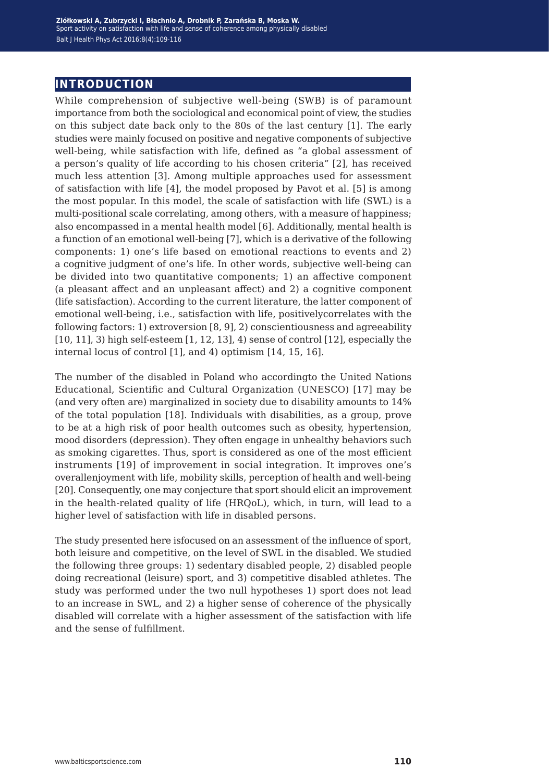## **introduction**

While comprehension of subjective well-being (SWB) is of paramount importance from both the sociological and economical point of view, the studies on this subject date back only to the 80s of the last century [1]. The early studies were mainly focused on positive and negative components of subjective well-being, while satisfaction with life, defined as "a global assessment of a person's quality of life according to his chosen criteria" [2], has received much less attention [3]. Among multiple approaches used for assessment of satisfaction with life [4], the model proposed by Pavot et al. [5] is among the most popular. In this model, the scale of satisfaction with life (SWL) is a multi-positional scale correlating, among others, with a measure of happiness; also encompassed in a mental health model [6]. Additionally, mental health is a function of an emotional well-being [7], which is a derivative of the following components: 1) one's life based on emotional reactions to events and 2) a cognitive judgment of one's life. In other words, subjective well-being can be divided into two quantitative components; 1) an affective component (a pleasant affect and an unpleasant affect) and 2) a cognitive component (life satisfaction). According to the current literature, the latter component of emotional well-being, i.e., satisfaction with life, positivelycorrelates with the following factors: 1) extroversion [8, 9], 2) conscientiousness and agreeability [10, 11], 3) high self-esteem [1, 12, 13], 4) sense of control [12], especially the internal locus of control [1], and 4) optimism [14, 15, 16].

The number of the disabled in Poland who accordingto the United Nations Educational, Scientific and Cultural Organization (UNESCO) [17] may be (and very often are) marginalized in society due to disability amounts to 14% of the total population [18]. Individuals with disabilities, as a group, prove to be at a high risk of poor health outcomes such as obesity, hypertension, mood disorders (depression). They often engage in unhealthy behaviors such as smoking cigarettes. Thus, sport is considered as one of the most efficient instruments [19] of improvement in social integration. It improves one's overallenjoyment with life, mobility skills, perception of health and well-being [20]. Consequently, one may conjecture that sport should elicit an improvement in the health-related quality of life (HRQoL), which, in turn, will lead to a higher level of satisfaction with life in disabled persons.

The study presented here isfocused on an assessment of the influence of sport, both leisure and competitive, on the level of SWL in the disabled. We studied the following three groups: 1) sedentary disabled people, 2) disabled people doing recreational (leisure) sport, and 3) competitive disabled athletes. The study was performed under the two null hypotheses 1) sport does not lead to an increase in SWL, and 2) a higher sense of coherence of the physically disabled will correlate with a higher assessment of the satisfaction with life and the sense of fulfillment.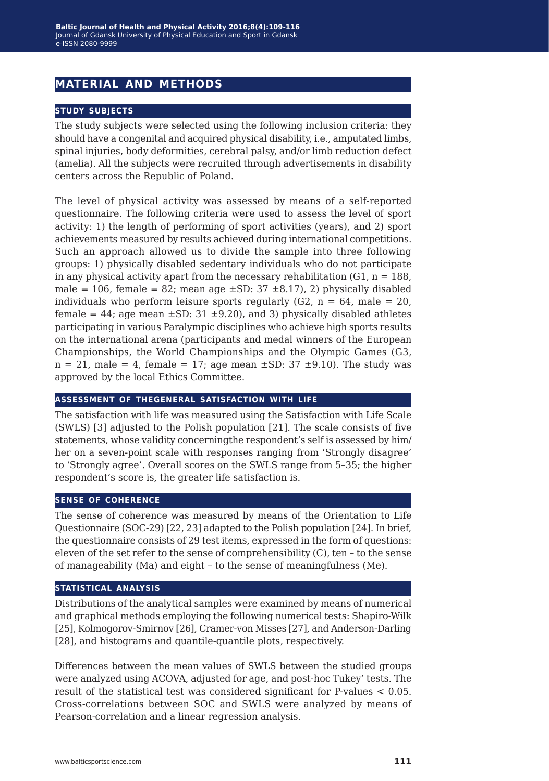## **material and methods**

#### **study subjects**

The study subjects were selected using the following inclusion criteria: they should have a congenital and acquired physical disability, i.e., amputated limbs, spinal injuries, body deformities, cerebral palsy, and/or limb reduction defect (amelia). All the subjects were recruited through advertisements in disability centers across the Republic of Poland.

The level of physical activity was assessed by means of a self-reported questionnaire. The following criteria were used to assess the level of sport activity: 1) the length of performing of sport activities (years), and 2) sport achievements measured by results achieved during international competitions. Such an approach allowed us to divide the sample into three following groups: 1) physically disabled sedentary individuals who do not participate in any physical activity apart from the necessary rehabilitation  $(G1, n = 188)$ , male = 106, female = 82; mean age  $\pm$ SD: 37  $\pm$ 8.17), 2) physically disabled individuals who perform leisure sports regularly  $(G2, n = 64,$  male = 20, female =  $44$ ; age mean  $\pm$ SD: 31  $\pm$ 9.20), and 3) physically disabled athletes participating in various Paralympic disciplines who achieve high sports results on the international arena (participants and medal winners of the European Championships, the World Championships and the Olympic Games (G3,  $n = 21$ , male = 4, female = 17; age mean  $\pm$ SD: 37  $\pm$ 9.10). The study was approved by the local Ethics Committee.

#### **assessment of thegeneral satisfaction with life**

The satisfaction with life was measured using the Satisfaction with Life Scale (SWLS) [3] adjusted to the Polish population [21]. The scale consists of five statements, whose validity concerningthe respondent's self is assessed by him/ her on a seven-point scale with responses ranging from 'Strongly disagree' to 'Strongly agree'. Overall scores on the SWLS range from 5–35; the higher respondent's score is, the greater life satisfaction is.

#### **sense of coherence**

The sense of coherence was measured by means of the Orientation to Life Questionnaire (SOC-29) [22, 23] adapted to the Polish population [24]. In brief, the questionnaire consists of 29 test items, expressed in the form of questions: eleven of the set refer to the sense of comprehensibility (C), ten – to the sense of manageability (Ma) and eight – to the sense of meaningfulness (Me).

#### **statistical analysis**

Distributions of the analytical samples were examined by means of numerical and graphical methods employing the following numerical tests: Shapiro-Wilk [25], Kolmogorov-Smirnov [26], Cramer-von Misses [27], and Anderson-Darling [28], and histograms and quantile-quantile plots, respectively.

Differences between the mean values of SWLS between the studied groups were analyzed using ACOVA, adjusted for age, and post-hoc Tukey' tests. The result of the statistical test was considered significant for P-values < 0.05. Cross-correlations between SOC and SWLS were analyzed by means of Pearson-correlation and a linear regression analysis.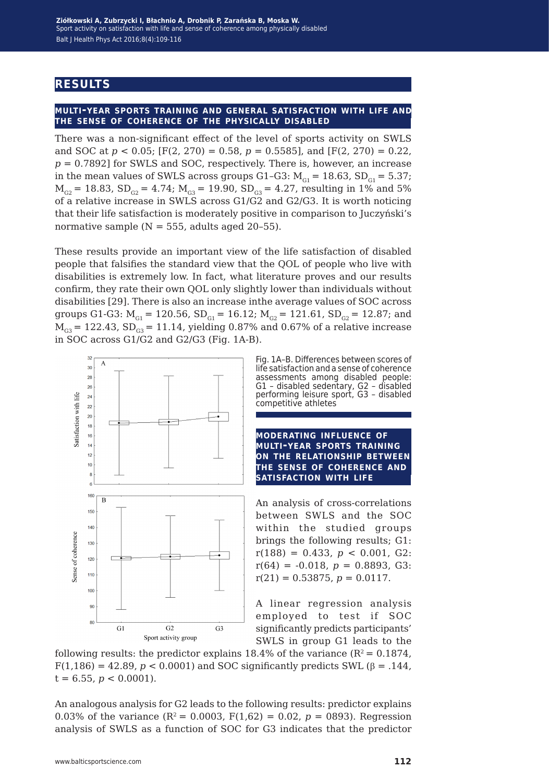## **results**

#### **multi-year sports training and general satisfaction with life and the sense of coherence of the physically disabled**

There was a non-significant effect of the level of sports activity on SWLS and SOC at  $p < 0.05$ ; [F(2, 270) = 0.58,  $p = 0.5585$ ], and [F(2, 270) = 0.22,  $p = 0.7892$  for SWLS and SOC, respectively. There is, however, an increase in the mean values of SWLS across groups G1-G3:  $M_{\text{G1}} = 18.63$ , SD<sub>G1</sub> = 5.37;  $M_{G2}$  = 18.83, SD<sub>G2</sub> = 4.74;  $M_{G3}$  = 19.90, SD<sub>G3</sub> = 4.27, resulting in 1% and 5% of a relative increase in SWLS across G1/G2 and G2/G3. It is worth noticing that their life satisfaction is moderately positive in comparison to Juczyński's normative sample  $(N = 555$ , adults aged 20-55).

These results provide an important view of the life satisfaction of disabled people that falsifies the standard view that the QOL of people who live with disabilities is extremely low. In fact, what literature proves and our results confirm, they rate their own QOL only slightly lower than individuals without disabilities [29]. There is also an increase inthe average values of SOC across groups G1-G3:  $M_{G1} = 120.56$ ,  $SD_{G1} = 16.12$ ;  $M_{G2} = 121.61$ ,  $SD_{G2} = 12.87$ ; and  $M_{G3}$  = 122.43, SD<sub>G3</sub> = 11.14, yielding 0.87% and 0.67% of a relative increase in SOC across G1/G2 and G2/G3 (Fig. 1A-B).



Fig. 1A–B. Differences between scores of life satisfaction and a sense of coherence assessments among disabled people: G1 – disabled sedentary, G2 – disabled performing leisure sport, G3 – disabled competitive athletes

**moderating influence of multi-year sports training on the relationship between the sense of coherence and satisfaction with life**

An analysis of cross-correlations between SWLS and the SOC within the studied groups brings the following results; G1:  $r(188) = 0.433, p < 0.001, G2$ :  $r(64) = -0.018$ ,  $p = 0.8893$ , G3:  $r(21) = 0.53875, p = 0.0117.$ 

A linear regression analysis employed to test if SOC significantly predicts participants' SWLS in group G1 leads to the

following results: the predictor explains 18.4% of the variance ( $R^2 = 0.1874$ ,  $F(1,186) = 42.89, p < 0.0001$  and SOC significantly predicts SWL ( $\beta = .144$ )  $t = 6.55$ ,  $p < 0.0001$ ).

An analogous analysis for G2 leads to the following results: predictor explains 0.03% of the variance  $(R^2 = 0.0003, F(1.62) = 0.02, p = 0.093)$ . Regression analysis of SWLS as a function of SOC for G3 indicates that the predictor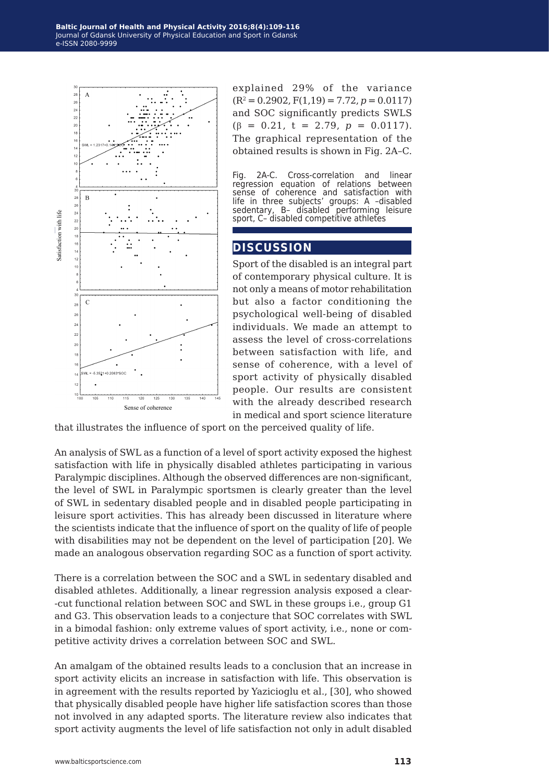

explained 29% of the variance  $(R^2 = 0.2902, F(1,19) = 7.72, p = 0.0117)$ and SOC significantly predicts SWLS  $(\beta = 0.21, t = 2.79, p = 0.0117).$ The graphical representation of the obtained results is shown in Fig. 2A–C.

Fig. 2A-C. Cross-correlation and linear regression equation of relations between sense of coherence and satisfaction with life in three subjects' groups: A –disabled sedentary, B– disabled performing leisure sport, C– disabled competitive athletes

#### **discussion**

Sport of the disabled is an integral part of contemporary physical culture. It is not only a means of motor rehabilitation but also a factor conditioning the psychological well-being of disabled individuals. We made an attempt to assess the level of cross-correlations between satisfaction with life, and sense of coherence, with a level of sport activity of physically disabled people. Our results are consistent with the already described research in medical and sport science literature

that illustrates the influence of sport on the perceived quality of life.

An analysis of SWL as a function of a level of sport activity exposed the highest satisfaction with life in physically disabled athletes participating in various Paralympic disciplines. Although the observed differences are non-significant, the level of SWL in Paralympic sportsmen is clearly greater than the level of SWL in sedentary disabled people and in disabled people participating in leisure sport activities. This has already been discussed in literature where the scientists indicate that the influence of sport on the quality of life of people with disabilities may not be dependent on the level of participation [20]. We made an analogous observation regarding SOC as a function of sport activity.

There is a correlation between the SOC and a SWL in sedentary disabled and disabled athletes. Additionally, a linear regression analysis exposed a clear- -cut functional relation between SOC and SWL in these groups i.e., group G1 and G3. This observation leads to a conjecture that SOC correlates with SWL in a bimodal fashion: only extreme values of sport activity, i.e., none or competitive activity drives a correlation between SOC and SWL.

An amalgam of the obtained results leads to a conclusion that an increase in sport activity elicits an increase in satisfaction with life. This observation is in agreement with the results reported by Yazicioglu et al., [30], who showed that physically disabled people have higher life satisfaction scores than those not involved in any adapted sports. The literature review also indicates that sport activity augments the level of life satisfaction not only in adult disabled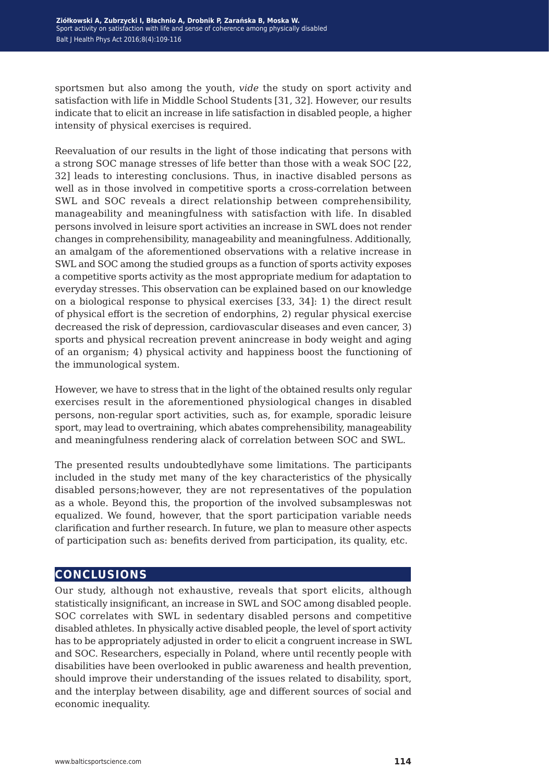sportsmen but also among the youth, *vide* the study on sport activity and satisfaction with life in Middle School Students [31, 32]. However, our results indicate that to elicit an increase in life satisfaction in disabled people, a higher intensity of physical exercises is required.

Reevaluation of our results in the light of those indicating that persons with a strong SOC manage stresses of life better than those with a weak SOC [22, 32] leads to interesting conclusions. Thus, in inactive disabled persons as well as in those involved in competitive sports a cross-correlation between SWL and SOC reveals a direct relationship between comprehensibility, manageability and meaningfulness with satisfaction with life. In disabled persons involved in leisure sport activities an increase in SWL does not render changes in comprehensibility, manageability and meaningfulness. Additionally, an amalgam of the aforementioned observations with a relative increase in SWL and SOC among the studied groups as a function of sports activity exposes a competitive sports activity as the most appropriate medium for adaptation to everyday stresses. This observation can be explained based on our knowledge on a biological response to physical exercises [33, 34]: 1) the direct result of physical effort is the secretion of endorphins, 2) regular physical exercise decreased the risk of depression, cardiovascular diseases and even cancer, 3) sports and physical recreation prevent anincrease in body weight and aging of an organism; 4) physical activity and happiness boost the functioning of the immunological system.

However, we have to stress that in the light of the obtained results only regular exercises result in the aforementioned physiological changes in disabled persons, non-regular sport activities, such as, for example, sporadic leisure sport, may lead to overtraining, which abates comprehensibility, manageability and meaningfulness rendering alack of correlation between SOC and SWL.

The presented results undoubtedlyhave some limitations. The participants included in the study met many of the key characteristics of the physically disabled persons;however, they are not representatives of the population as a whole. Beyond this, the proportion of the involved subsampleswas not equalized. We found, however, that the sport participation variable needs clarification and further research. In future, we plan to measure other aspects of participation such as: benefits derived from participation, its quality, etc.

### **conclusions**

Our study, although not exhaustive, reveals that sport elicits, although statistically insignificant, an increase in SWL and SOC among disabled people. SOC correlates with SWL in sedentary disabled persons and competitive disabled athletes. In physically active disabled people, the level of sport activity has to be appropriately adjusted in order to elicit a congruent increase in SWL and SOC. Researchers, especially in Poland, where until recently people with disabilities have been overlooked in public awareness and health prevention, should improve their understanding of the issues related to disability, sport, and the interplay between disability, age and different sources of social and economic inequality.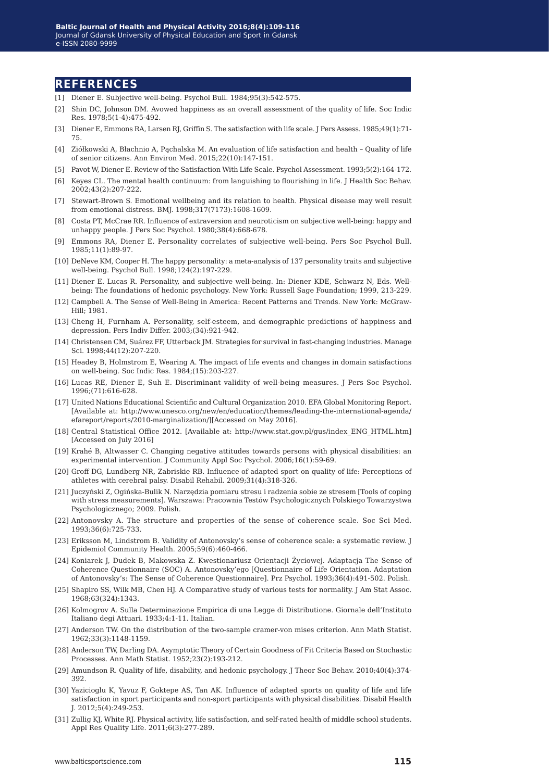#### **references**

- [1] Diener E. Subjective well-being. Psychol Bull. 1984;95(3):542-575.
- [2] Shin DC, Johnson DM. Avowed happiness as an overall assessment of the quality of life. Soc Indic Res. 1978;5(1-4):475-492.
- [3] Diener E, Emmons RA, Larsen RJ, Griffin S. The satisfaction with life scale. J Pers Assess. 1985;49(1):71- 75.
- [4] Ziółkowski A, Błachnio A, Pąchalska M. An evaluation of life satisfaction and health Quality of life of senior citizens. Ann Environ Med. 2015;22(10):147-151.
- [5] Pavot W, Diener E. Review of the Satisfaction With Life Scale. Psychol Assessment. 1993;5(2):164-172.
- [6] Keyes CL. The mental health continuum: from languishing to flourishing in life. J Health Soc Behav. 2002;43(2):207-222.
- [7] Stewart-Brown S. Emotional wellbeing and its relation to health. Physical disease may well result from emotional distress. BMJ. 1998;317(7173):1608-1609.
- [8] Costa PT, McCrae RR. Influence of extraversion and neuroticism on subjective well-being: happy and unhappy people. J Pers Soc Psychol. 1980;38(4):668-678.
- [9] Emmons RA, Diener E. Personality correlates of subjective well-being. Pers Soc Psychol Bull. 1985;11(1):89-97.
- [10] DeNeve KM, Cooper H. The happy personality: a meta-analysis of 137 personality traits and subjective well-being. Psychol Bull. 1998;124(2):197-229.
- [11] Diener E. Lucas R. Personality, and subjective well-being. In: Diener KDE, Schwarz N, Eds. Wellbeing: The foundations of hedonic psychology. New York: Russell Sage Foundation; 1999, 213-229.
- [12] Campbell A. The Sense of Well-Being in America: Recent Patterns and Trends. New York: McGraw-Hill; 1981.
- [13] Cheng H, Furnham A. Personality, self-esteem, and demographic predictions of happiness and depression. Pers Indiv Differ. 2003;(34):921-942.
- [14] Christensen CM, Suárez FF, Utterback JM. Strategies for survival in fast-changing industries. Manage Sci. 1998;44(12):207-220.
- [15] Headey B, Holmstrom E, Wearing A. The impact of life events and changes in domain satisfactions on well-being. Soc Indic Res. 1984;(15):203-227.
- [16] Lucas RE, Diener E, Suh E. Discriminant validity of well-being measures. J Pers Soc Psychol. 1996;(71):616-628.
- [17] United Nations Educational Scientific and Cultural Organization 2010. EFA Global Monitoring Report. [Available at: http://www.unesco.org/new/en/education/themes/leading-the-international-agenda/ efareport/reports/2010-marginalization/][Accessed on May 2016].
- [18] Central Statistical Office 2012. [Available at: http://www.stat.gov.pl/gus/index\_ENG\_HTML.htm] [Accessed on July 2016]
- [19] Krahé B, Altwasser C. Changing negative attitudes towards persons with physical disabilities: an experimental intervention. J Community Appl Soc Psychol. 2006;16(1):59-69.
- [20] Groff DG, Lundberg NR, Zabriskie RB. Influence of adapted sport on quality of life: Perceptions of athletes with cerebral palsy. Disabil Rehabil. 2009;31(4):318-326.
- [21] Juczyński Z, Ogińska-Bulik N. Narzędzia pomiaru stresu i radzenia sobie ze stresem [Tools of coping with stress measurements]. Warszawa: Pracownia Testów Psychologicznych Polskiego Towarzystwa Psychologicznego; 2009. Polish.
- [22] Antonovsky A. The structure and properties of the sense of coherence scale. Soc Sci Med. 1993;36(6):725-733.
- [23] Eriksson M, Lindstrom B. Validity of Antonovsky's sense of coherence scale: a systematic review. J Epidemiol Community Health. 2005;59(6):460-466.
- [24] Koniarek J, Dudek B, Makowska Z. Kwestionariusz Orientacji Życiowej. Adaptacja The Sense of Coherence Questionnaire (SOC) A. Antonovsky'ego [Questionnaire of Life Orientation. Adaptation of Antonovsky's: The Sense of Coherence Questionnaire]. Prz Psychol. 1993;36(4):491-502. Polish.
- [25] Shapiro SS, Wilk MB, Chen HJ. A Comparative study of various tests for normality. J Am Stat Assoc. 1968;63(324):1343.
- [26] Kolmogrov A. Sulla Determinazione Empirica di una Legge di Distributione. Giornale dell'Instituto Italiano degi Attuari. 1933;4:1-11. Italian.
- [27] Anderson TW. On the distribution of the two-sample cramer-von mises criterion. Ann Math Statist. 1962;33(3):1148-1159.
- [28] Anderson TW, Darling DA. Asymptotic Theory of Certain Goodness of Fit Criteria Based on Stochastic Processes. Ann Math Statist. 1952;23(2):193-212.
- [29] Amundson R. Quality of life, disability, and hedonic psychology. J Theor Soc Behav. 2010;40(4):374- 392.
- [30] Yazicioglu K, Yavuz F, Goktepe AS, Tan AK. Influence of adapted sports on quality of life and life satisfaction in sport participants and non-sport participants with physical disabilities. Disabil Health J. 2012;5(4):249-253.
- [31] Zullig KJ, White RJ. Physical activity, life satisfaction, and self-rated health of middle school students. Appl Res Quality Life. 2011;6(3):277-289.